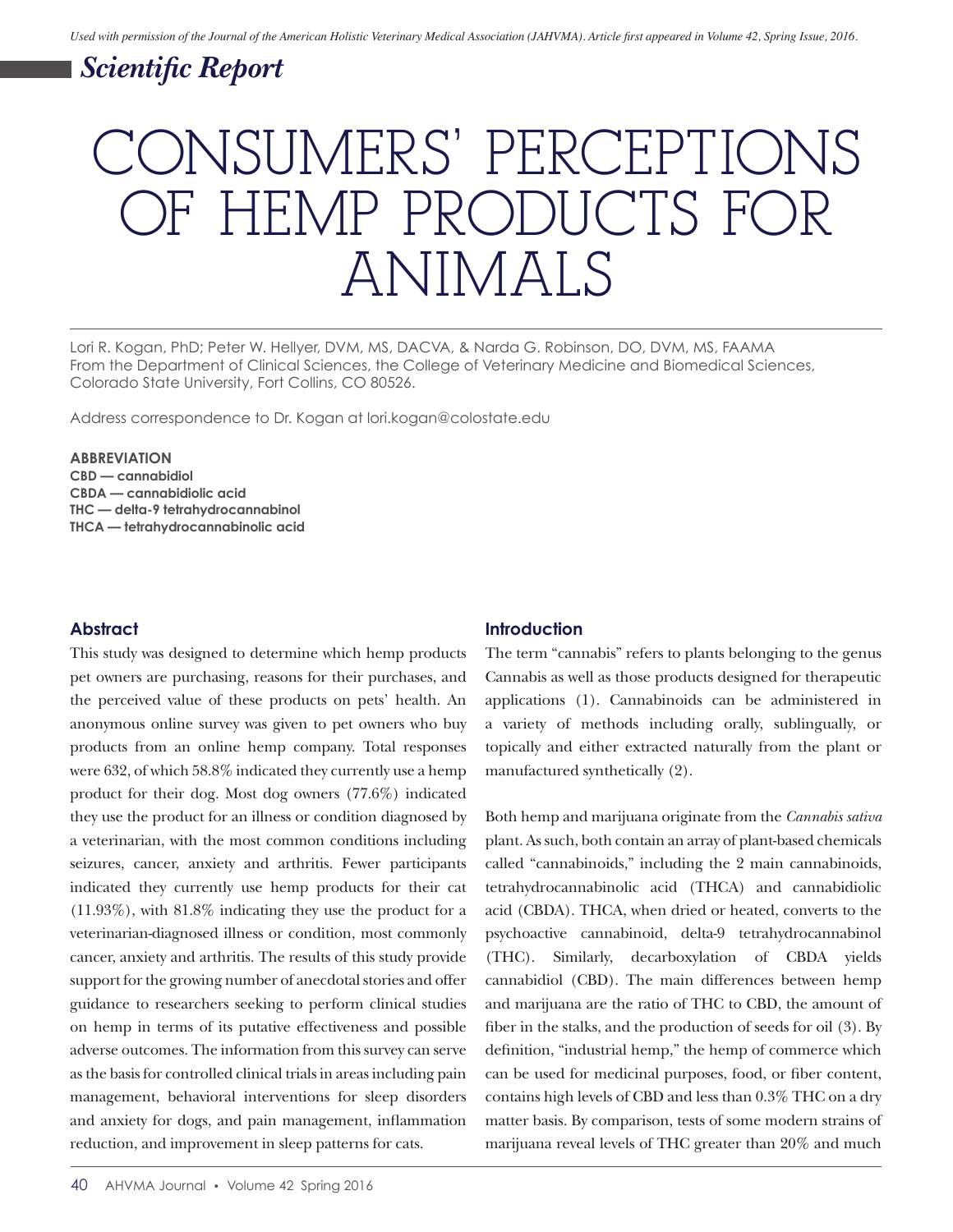# *Scientific Report*

# CONSUMERS' PERCEPTIONS OF HEMP PRODUCTS FOR ANIMALS

Lori R. Kogan, PhD; Peter W. Hellyer, DVM, MS, DACVA, & Narda G. Robinson, DO, DVM, MS, FAAMA From the Department of Clinical Sciences, the College of Veterinary Medicine and Biomedical Sciences, Colorado State University, Fort Collins, CO 80526.

Address correspondence to Dr. Kogan at lori.kogan@colostate.edu

#### **ABBREVIATION**

**CBD — cannabidiol CBDA — cannabidiolic acid THC — delta-9 tetrahydrocannabinol THCA — tetrahydrocannabinolic acid** 

#### **Abstract**

This study was designed to determine which hemp products pet owners are purchasing, reasons for their purchases, and the perceived value of these products on pets' health. An anonymous online survey was given to pet owners who buy products from an online hemp company. Total responses were 632, of which 58.8% indicated they currently use a hemp product for their dog. Most dog owners (77.6%) indicated they use the product for an illness or condition diagnosed by a veterinarian, with the most common conditions including seizures, cancer, anxiety and arthritis. Fewer participants indicated they currently use hemp products for their cat (11.93%), with 81.8% indicating they use the product for a veterinarian-diagnosed illness or condition, most commonly cancer, anxiety and arthritis. The results of this study provide support for the growing number of anecdotal stories and offer guidance to researchers seeking to perform clinical studies on hemp in terms of its putative effectiveness and possible adverse outcomes. The information from this survey can serve as the basis for controlled clinical trials in areas including pain management, behavioral interventions for sleep disorders and anxiety for dogs, and pain management, inflammation reduction, and improvement in sleep patterns for cats.

#### **Introduction**

The term "cannabis" refers to plants belonging to the genus Cannabis as well as those products designed for therapeutic applications (1). Cannabinoids can be administered in a variety of methods including orally, sublingually, or topically and either extracted naturally from the plant or manufactured synthetically (2).

Both hemp and marijuana originate from the *Cannabis sativa* plant. As such, both contain an array of plant-based chemicals called "cannabinoids," including the 2 main cannabinoids, tetrahydrocannabinolic acid (THCA) and cannabidiolic acid (CBDA). THCA, when dried or heated, converts to the psychoactive cannabinoid, delta-9 tetrahydrocannabinol (THC). Similarly, decarboxylation of CBDA yields cannabidiol (CBD). The main differences between hemp and marijuana are the ratio of THC to CBD, the amount of fiber in the stalks, and the production of seeds for oil (3). By definition, "industrial hemp," the hemp of commerce which can be used for medicinal purposes, food, or fiber content, contains high levels of CBD and less than 0.3% THC on a dry matter basis. By comparison, tests of some modern strains of marijuana reveal levels of THC greater than 20% and much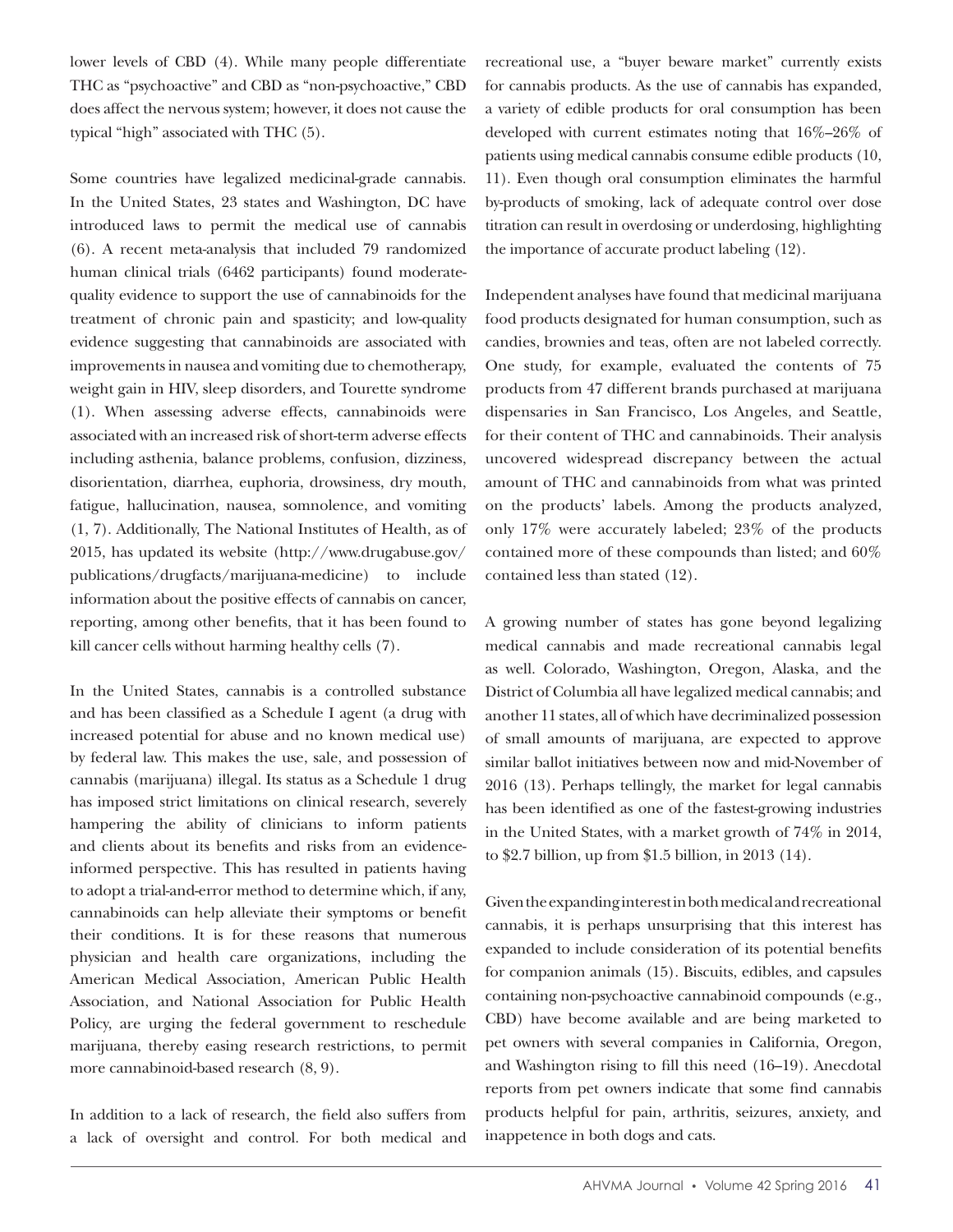lower levels of CBD (4). While many people differentiate THC as "psychoactive" and CBD as "non-psychoactive," CBD does affect the nervous system; however, it does not cause the typical "high" associated with THC (5).

Some countries have legalized medicinal-grade cannabis. In the United States, 23 states and Washington, DC have introduced laws to permit the medical use of cannabis (6). A recent meta-analysis that included 79 randomized human clinical trials (6462 participants) found moderatequality evidence to support the use of cannabinoids for the treatment of chronic pain and spasticity; and low-quality evidence suggesting that cannabinoids are associated with improvements in nausea and vomiting due to chemotherapy, weight gain in HIV, sleep disorders, and Tourette syndrome (1). When assessing adverse effects, cannabinoids were associated with an increased risk of short-term adverse effects including asthenia, balance problems, confusion, dizziness, disorientation, diarrhea, euphoria, drowsiness, dry mouth, fatigue, hallucination, nausea, somnolence, and vomiting (1, 7). Additionally, The National Institutes of Health, as of 2015, has updated its website (http://www.drugabuse.gov/ publications/drugfacts/marijuana-medicine) to include information about the positive effects of cannabis on cancer, reporting, among other benefits, that it has been found to kill cancer cells without harming healthy cells (7).

In the United States, cannabis is a controlled substance and has been classified as a Schedule I agent (a drug with increased potential for abuse and no known medical use) by federal law. This makes the use, sale, and possession of cannabis (marijuana) illegal. Its status as a Schedule 1 drug has imposed strict limitations on clinical research, severely hampering the ability of clinicians to inform patients and clients about its benefits and risks from an evidenceinformed perspective. This has resulted in patients having to adopt a trial-and-error method to determine which, if any, cannabinoids can help alleviate their symptoms or benefit their conditions. It is for these reasons that numerous physician and health care organizations, including the American Medical Association, American Public Health Association, and National Association for Public Health Policy, are urging the federal government to reschedule marijuana, thereby easing research restrictions, to permit more cannabinoid-based research (8, 9).

In addition to a lack of research, the field also suffers from a lack of oversight and control. For both medical and recreational use, a "buyer beware market" currently exists for cannabis products. As the use of cannabis has expanded, a variety of edible products for oral consumption has been developed with current estimates noting that 16%–26% of patients using medical cannabis consume edible products (10, 11). Even though oral consumption eliminates the harmful by-products of smoking, lack of adequate control over dose titration can result in overdosing or underdosing, highlighting the importance of accurate product labeling (12).

Independent analyses have found that medicinal marijuana food products designated for human consumption, such as candies, brownies and teas, often are not labeled correctly. One study, for example, evaluated the contents of 75 products from 47 different brands purchased at marijuana dispensaries in San Francisco, Los Angeles, and Seattle, for their content of THC and cannabinoids. Their analysis uncovered widespread discrepancy between the actual amount of THC and cannabinoids from what was printed on the products' labels. Among the products analyzed, only 17% were accurately labeled; 23% of the products contained more of these compounds than listed; and 60% contained less than stated (12).

A growing number of states has gone beyond legalizing medical cannabis and made recreational cannabis legal as well. Colorado, Washington, Oregon, Alaska, and the District of Columbia all have legalized medical cannabis; and another 11 states, all of which have decriminalized possession of small amounts of marijuana, are expected to approve similar ballot initiatives between now and mid-November of 2016 (13). Perhaps tellingly, the market for legal cannabis has been identified as one of the fastest-growing industries in the United States, with a market growth of 74% in 2014, to \$2.7 billion, up from \$1.5 billion, in 2013 (14).

Given the expanding interest in both medical and recreational cannabis, it is perhaps unsurprising that this interest has expanded to include consideration of its potential benefits for companion animals (15). Biscuits, edibles, and capsules containing non-psychoactive cannabinoid compounds (e.g., CBD) have become available and are being marketed to pet owners with several companies in California, Oregon, and Washington rising to fill this need (16–19). Anecdotal reports from pet owners indicate that some find cannabis products helpful for pain, arthritis, seizures, anxiety, and inappetence in both dogs and cats.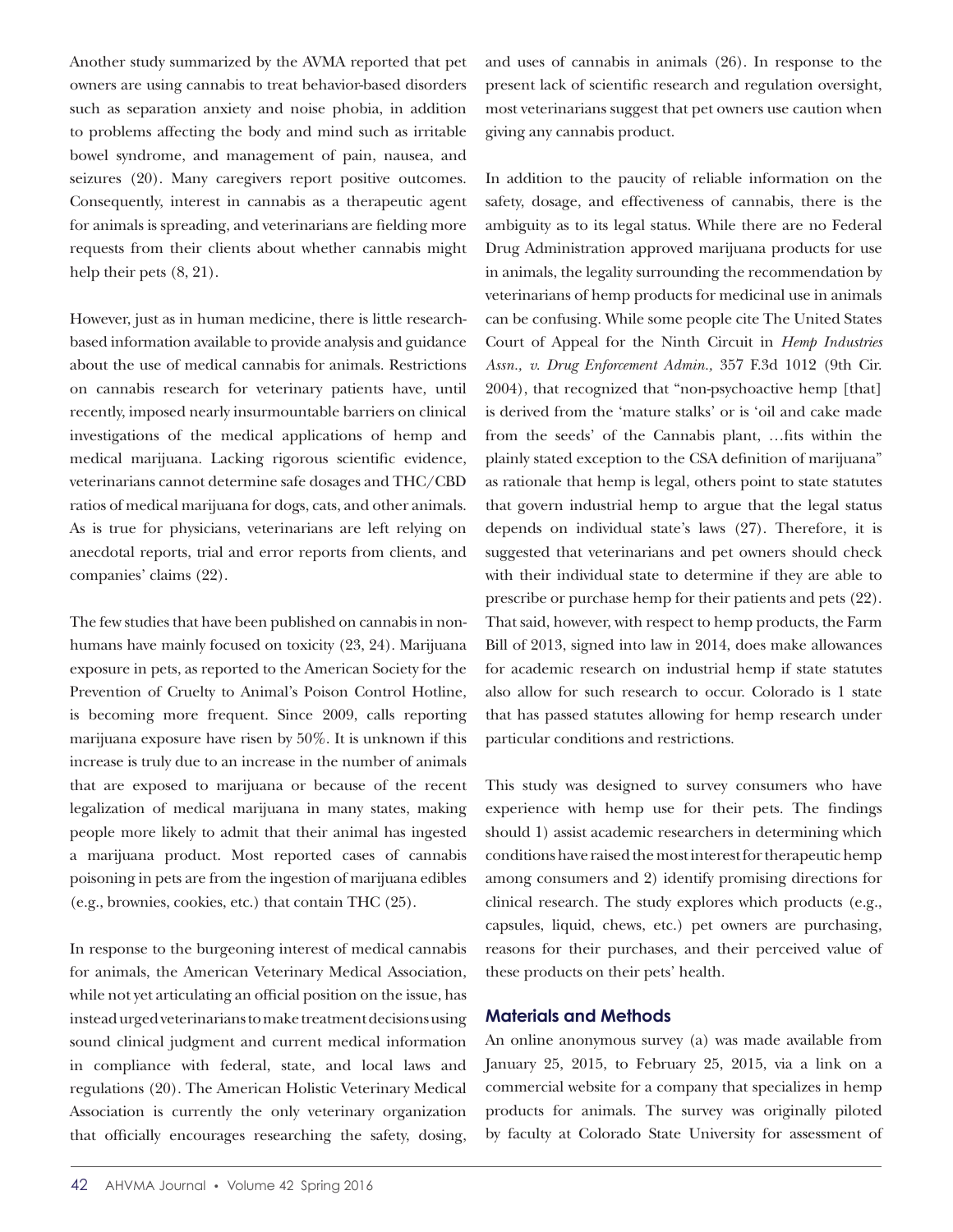Another study summarized by the AVMA reported that pet owners are using cannabis to treat behavior-based disorders such as separation anxiety and noise phobia, in addition to problems affecting the body and mind such as irritable bowel syndrome, and management of pain, nausea, and seizures (20). Many caregivers report positive outcomes. Consequently, interest in cannabis as a therapeutic agent for animals is spreading, and veterinarians are fielding more requests from their clients about whether cannabis might help their pets  $(8, 21)$ .

However, just as in human medicine, there is little researchbased information available to provide analysis and guidance about the use of medical cannabis for animals. Restrictions on cannabis research for veterinary patients have, until recently, imposed nearly insurmountable barriers on clinical investigations of the medical applications of hemp and medical marijuana. Lacking rigorous scientific evidence, veterinarians cannot determine safe dosages and THC/CBD ratios of medical marijuana for dogs, cats, and other animals. As is true for physicians, veterinarians are left relying on anecdotal reports, trial and error reports from clients, and companies' claims (22).

The few studies that have been published on cannabis in nonhumans have mainly focused on toxicity (23, 24). Marijuana exposure in pets, as reported to the American Society for the Prevention of Cruelty to Animal's Poison Control Hotline, is becoming more frequent. Since 2009, calls reporting marijuana exposure have risen by 50%. It is unknown if this increase is truly due to an increase in the number of animals that are exposed to marijuana or because of the recent legalization of medical marijuana in many states, making people more likely to admit that their animal has ingested a marijuana product. Most reported cases of cannabis poisoning in pets are from the ingestion of marijuana edibles (e.g., brownies, cookies, etc.) that contain THC (25).

In response to the burgeoning interest of medical cannabis for animals, the American Veterinary Medical Association, while not yet articulating an official position on the issue, has instead urged veterinarians to make treatment decisions using sound clinical judgment and current medical information in compliance with federal, state, and local laws and regulations (20). The American Holistic Veterinary Medical Association is currently the only veterinary organization that officially encourages researching the safety, dosing,

and uses of cannabis in animals (26). In response to the present lack of scientific research and regulation oversight, most veterinarians suggest that pet owners use caution when giving any cannabis product.

In addition to the paucity of reliable information on the safety, dosage, and effectiveness of cannabis, there is the ambiguity as to its legal status. While there are no Federal Drug Administration approved marijuana products for use in animals, the legality surrounding the recommendation by veterinarians of hemp products for medicinal use in animals can be confusing. While some people cite The United States Court of Appeal for the Ninth Circuit in *Hemp Industries Assn., v. Drug Enforcement Admin.,* 357 F.3d 1012 (9th Cir. 2004), that recognized that "non-psychoactive hemp [that] is derived from the 'mature stalks' or is 'oil and cake made from the seeds' of the Cannabis plant, …fits within the plainly stated exception to the CSA definition of marijuana" as rationale that hemp is legal, others point to state statutes that govern industrial hemp to argue that the legal status depends on individual state's laws (27). Therefore, it is suggested that veterinarians and pet owners should check with their individual state to determine if they are able to prescribe or purchase hemp for their patients and pets (22). That said, however, with respect to hemp products, the Farm Bill of 2013, signed into law in 2014, does make allowances for academic research on industrial hemp if state statutes also allow for such research to occur. Colorado is 1 state that has passed statutes allowing for hemp research under particular conditions and restrictions.

This study was designed to survey consumers who have experience with hemp use for their pets. The findings should 1) assist academic researchers in determining which conditions have raised the most interest for therapeutic hemp among consumers and 2) identify promising directions for clinical research. The study explores which products (e.g., capsules, liquid, chews, etc.) pet owners are purchasing, reasons for their purchases, and their perceived value of these products on their pets' health.

#### **Materials and Methods**

An online anonymous survey (a) was made available from January 25, 2015, to February 25, 2015, via a link on a commercial website for a company that specializes in hemp products for animals. The survey was originally piloted by faculty at Colorado State University for assessment of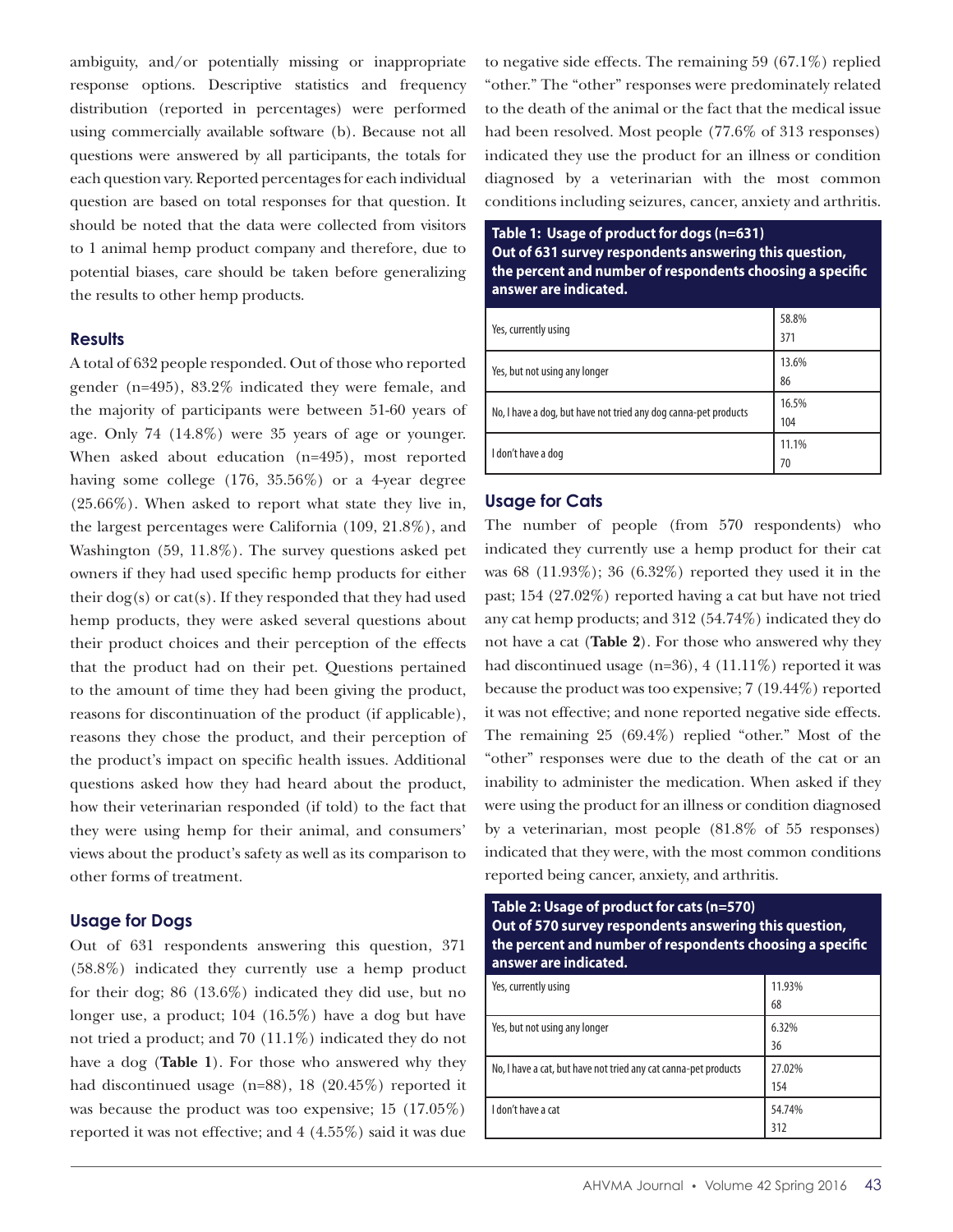ambiguity, and/or potentially missing or inappropriate response options. Descriptive statistics and frequency distribution (reported in percentages) were performed using commercially available software (b). Because not all questions were answered by all participants, the totals for each question vary. Reported percentages for each individual question are based on total responses for that question. It should be noted that the data were collected from visitors to 1 animal hemp product company and therefore, due to potential biases, care should be taken before generalizing the results to other hemp products.

#### **Results**

A total of 632 people responded. Out of those who reported gender (n=495), 83.2% indicated they were female, and the majority of participants were between 51-60 years of age. Only 74 (14.8%) were 35 years of age or younger. When asked about education (n=495), most reported having some college (176, 35.56%) or a 4-year degree (25.66%). When asked to report what state they live in, the largest percentages were California (109, 21.8%), and Washington (59, 11.8%). The survey questions asked pet owners if they had used specific hemp products for either their  $\log(s)$  or cat(s). If they responded that they had used hemp products, they were asked several questions about their product choices and their perception of the effects that the product had on their pet. Questions pertained to the amount of time they had been giving the product, reasons for discontinuation of the product (if applicable), reasons they chose the product, and their perception of the product's impact on specific health issues. Additional questions asked how they had heard about the product, how their veterinarian responded (if told) to the fact that they were using hemp for their animal, and consumers' views about the product's safety as well as its comparison to other forms of treatment.

#### **Usage for Dogs**

Out of 631 respondents answering this question, 371 (58.8%) indicated they currently use a hemp product for their dog; 86 (13.6%) indicated they did use, but no longer use, a product; 104 (16.5%) have a dog but have not tried a product; and 70 (11.1%) indicated they do not have a dog (**Table 1**). For those who answered why they had discontinued usage (n=88), 18 (20.45%) reported it was because the product was too expensive; 15 (17.05%) reported it was not effective; and 4 (4.55%) said it was due

to negative side effects. The remaining 59 (67.1%) replied "other." The "other" responses were predominately related to the death of the animal or the fact that the medical issue had been resolved. Most people (77.6% of 313 responses) indicated they use the product for an illness or condition diagnosed by a veterinarian with the most common conditions including seizures, cancer, anxiety and arthritis.

**Table 1: Usage of product for dogs (n=631) Out of 631 survey respondents answering this question, the percent and number of respondents choosing a specific answer are indicated.**

| Yes, currently using                                            | 58.8%<br>371 |
|-----------------------------------------------------------------|--------------|
| Yes, but not using any longer                                   | 13.6%<br>86  |
| No, I have a dog, but have not tried any dog canna-pet products | 16.5%<br>104 |
| I don't have a dog                                              | 11.1%<br>70  |

## **Usage for Cats**

The number of people (from 570 respondents) who indicated they currently use a hemp product for their cat was 68 (11.93%); 36 (6.32%) reported they used it in the past; 154 (27.02%) reported having a cat but have not tried any cat hemp products; and 312 (54.74%) indicated they do not have a cat (**Table 2**). For those who answered why they had discontinued usage (n=36), 4 (11.11%) reported it was because the product was too expensive; 7 (19.44%) reported it was not effective; and none reported negative side effects. The remaining 25 (69.4%) replied "other." Most of the "other" responses were due to the death of the cat or an inability to administer the medication. When asked if they were using the product for an illness or condition diagnosed by a veterinarian, most people (81.8% of 55 responses) indicated that they were, with the most common conditions reported being cancer, anxiety, and arthritis.

**Table 2: Usage of product for cats (n=570) Out of 570 survey respondents answering this question, the percent and number of respondents choosing a specific answer are indicated.**

| Yes, currently using                                            | 11.93% |
|-----------------------------------------------------------------|--------|
|                                                                 | 68     |
| Yes, but not using any longer                                   | 6.32%  |
|                                                                 | 36     |
| No, I have a cat, but have not tried any cat canna-pet products | 27.02% |
|                                                                 | 154    |
| I don't have a cat                                              | 54.74% |
|                                                                 | 312    |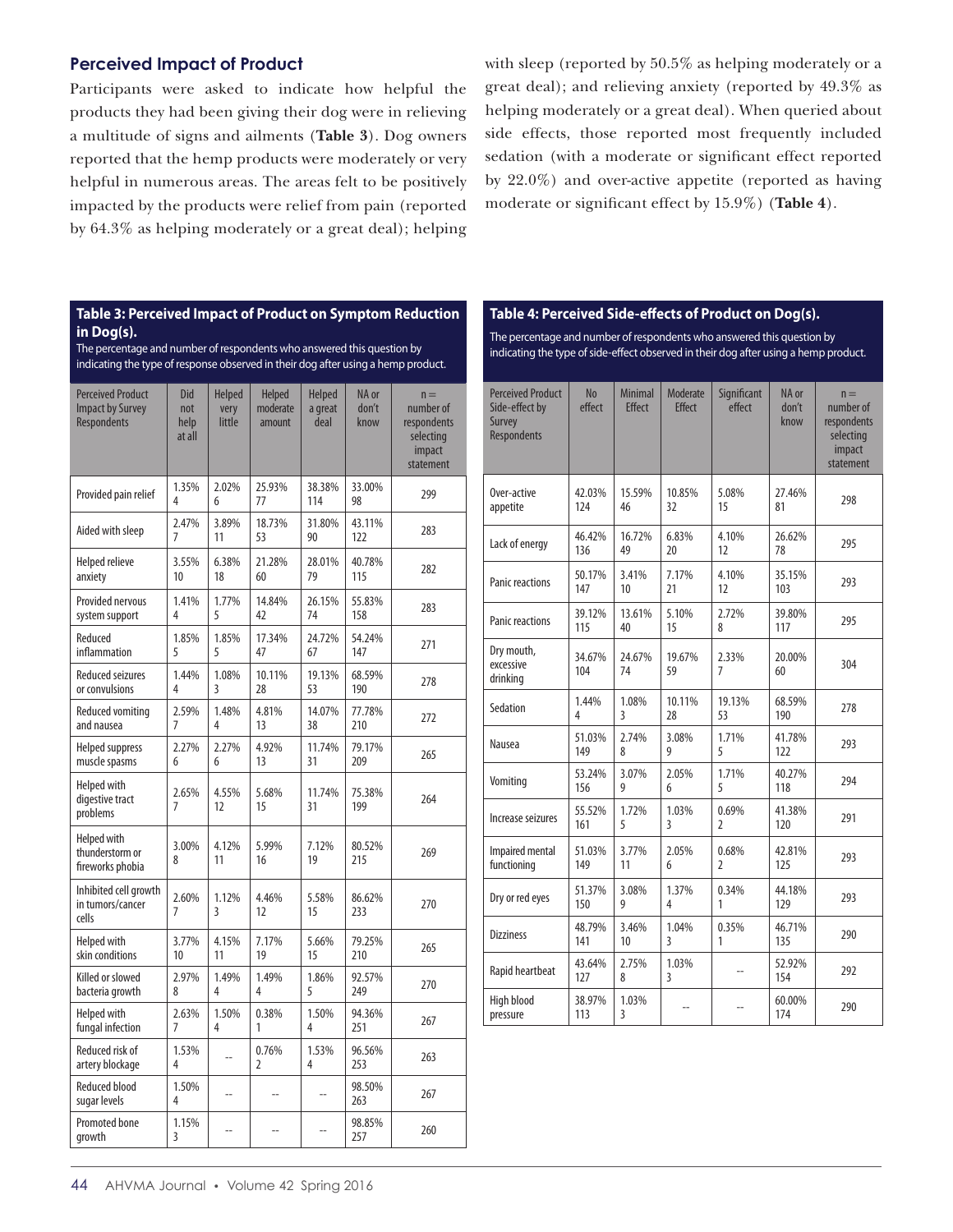# **Perceived Impact of Product**

Participants were asked to indicate how helpful the products they had been giving their dog were in relieving a multitude of signs and ailments (**Table 3**). Dog owners reported that the hemp products were moderately or very helpful in numerous areas. The areas felt to be positively impacted by the products were relief from pain (reported by 64.3% as helping moderately or a great deal); helping

with sleep (reported by 50.5% as helping moderately or a great deal); and relieving anxiety (reported by 49.3% as helping moderately or a great deal). When queried about side effects, those reported most frequently included sedation (with a moderate or significant effect reported by 22.0%) and over-active appetite (reported as having moderate or significant effect by 15.9%) (**Table 4**).

#### **Table 3: Perceived Impact of Product on Symptom Reduction in Dog(s).**

The percentage and number of respondents who answered this question by indicating the type of response observed in their dog after using a hemp product.

| <b>Perceived Product</b><br><b>Impact by Survey</b><br>Respondents | Did<br>not<br>help<br>at all | <b>Helped</b><br>very<br>little | <b>Helped</b><br>moderate<br>amount | <b>Helped</b><br>a great<br>deal | NA or<br>don't<br>know | $n =$<br>number of<br>respondents<br>selecting<br>impact<br>statement |
|--------------------------------------------------------------------|------------------------------|---------------------------------|-------------------------------------|----------------------------------|------------------------|-----------------------------------------------------------------------|
| Provided pain relief                                               | 1.35%<br>4                   | 2.02%<br>6                      | 25.93%<br>77                        | 38.38%<br>114                    | 33.00%<br>98           | 299                                                                   |
| Aided with sleep                                                   | 2.47%<br>7                   | 3.89%<br>11                     | 18.73%<br>53                        | 31.80%<br>90                     | 43.11%<br>122          | 283                                                                   |
| <b>Helped relieve</b>                                              | 3.55%                        | 6.38%                           | 21.28%                              | 28.01%                           | 40.78%                 | 282                                                                   |
| anxiety                                                            | 10                           | 18                              | 60                                  | 79                               | 115                    |                                                                       |
| Provided nervous                                                   | 1.41%                        | 1.77%                           | 14.84%                              | 26.15%                           | 55.83%                 | 283                                                                   |
| system support                                                     | 4                            | 5                               | 42                                  | 74                               | 158                    |                                                                       |
| Reduced                                                            | 1.85%                        | 1.85%                           | 17.34%                              | 24.72%                           | 54.24%                 | 271                                                                   |
| inflammation                                                       | 5                            | 5                               | 47                                  | 67                               | 147                    |                                                                       |
| <b>Reduced seizures</b>                                            | 1.44%                        | 1.08%                           | 10.11%                              | 19.13%                           | 68.59%                 | 278                                                                   |
| or convulsions                                                     | 4                            | 3                               | 28                                  | 53                               | 190                    |                                                                       |
| Reduced vomiting                                                   | 2.59%                        | 1.48%                           | 4.81%                               | 14.07%                           | 77.78%                 | 272                                                                   |
| and nausea                                                         | 7                            | 4                               | 13                                  | 38                               | 210                    |                                                                       |
| <b>Helped suppress</b>                                             | 2.27%                        | 2.27%                           | 4.92%                               | 11.74%                           | 79.17%                 | 265                                                                   |
| muscle spasms                                                      | 6                            | 6                               | 13                                  | 31                               | 209                    |                                                                       |
| <b>Helped with</b><br>digestive tract<br>problems                  | 2.65%<br>$\overline{7}$      | 4.55%<br>12                     | 5.68%<br>15                         | 11.74%<br>31                     | 75.38%<br>199          | 264                                                                   |
| <b>Helped with</b><br>thunderstorm or<br>fireworks phobia          | 3.00%<br>8                   | 4.12%<br>11                     | 5.99%<br>16                         | 7.12%<br>19                      | 80.52%<br>215          | 269                                                                   |
| Inhibited cell growth<br>in tumors/cancer<br>cells                 | 2.60%<br>7                   | 1.12%<br>3                      | 4.46%<br>12                         | 5.58%<br>15                      | 86.62%<br>233          | 270                                                                   |
| Helped with                                                        | 3.77%                        | 4.15%                           | 7.17%                               | 5.66%                            | 79.25%                 | 265                                                                   |
| skin conditions                                                    | 10                           | 11                              | 19                                  | 15                               | 210                    |                                                                       |
| Killed or slowed                                                   | 2.97%                        | 1.49%                           | 1.49%                               | 1.86%                            | 92.57%                 | 270                                                                   |
| bacteria growth                                                    | 8                            | 4                               | 4                                   | 5                                | 249                    |                                                                       |
| Helped with                                                        | 2.63%                        | 1.50%                           | 0.38%                               | 1.50%                            | 94.36%                 | 267                                                                   |
| fungal infection                                                   | 7                            | 4                               | 1                                   | 4                                | 251                    |                                                                       |
| Reduced risk of<br>artery blockage                                 | 1.53%<br>4                   | Ξ.                              | 0.76%<br>$\overline{2}$             | 1.53%<br>4                       | 96.56%<br>253          | 263                                                                   |
| <b>Reduced blood</b><br>sugar levels                               | 1.50%<br>4                   | $\overline{a}$                  | $\overline{a}$                      | L.                               | 98.50%<br>263          | 267                                                                   |
| Promoted bone<br>growth                                            | 1.15%<br>3                   | --                              | $\overline{a}$                      | Ξ.                               | 98.85%<br>257          | 260                                                                   |

#### **Table 4: Perceived Side-effects of Product on Dog(s).**

The percentage and number of respondents who answered this question by indicating the type of side-effect observed in their dog after using a hemp product.

| <b>Perceived Product</b><br>Side-effect by<br>Survey<br><b>Respondents</b> | <b>No</b><br>effect | <b>Minimal</b><br><b>Effect</b> | Moderate<br><b>Effect</b> | Significant<br>effect   | NA or<br>don't<br>know | $n =$<br>number of<br>respondents<br>selecting<br>impact<br>statement |
|----------------------------------------------------------------------------|---------------------|---------------------------------|---------------------------|-------------------------|------------------------|-----------------------------------------------------------------------|
| Over-active<br>appetite                                                    | 42.03%<br>124       | 15.59%<br>46                    | 10.85%<br>32              | 5.08%<br>15             | 27.46%<br>81           | 298                                                                   |
| Lack of energy                                                             | 46.42%<br>136       | 16.72%<br>49                    | 6.83%<br>20               | 4.10%<br>12             | 26.62%<br>78           | 295                                                                   |
| <b>Panic reactions</b>                                                     | 50.17%<br>147       | 3.41%<br>10                     | 7.17%<br>21               | 4.10%<br>12             | 35.15%<br>103          | 293                                                                   |
| <b>Panic reactions</b>                                                     | 39.12%<br>115       | 13.61%<br>40                    | 5.10%<br>15               | 2.72%<br>8              | 39.80%<br>117          | 295                                                                   |
| Dry mouth,<br>excessive<br>drinking                                        | 34.67%<br>104       | 24.67%<br>74                    | 19.67%<br>59              | 2.33%<br>7              | 20.00%<br>60           | 304                                                                   |
| Sedation                                                                   | 1.44%<br>4          | 1.08%<br>3                      | 10.11%<br>28              | 19.13%<br>53            | 68.59%<br>190          | 278                                                                   |
| Nausea                                                                     | 51.03%<br>149       | 2.74%<br>8                      | 3.08%<br>g                | 1.71%<br>5              | 41.78%<br>122          | 293                                                                   |
| Vomiting                                                                   | 53.24%<br>156       | 3.07%<br>9                      | 2.05%<br>6                | 1.71%<br>5              | 40.27%<br>118          | 294                                                                   |
| Increase seizures                                                          | 55.52%<br>161       | 1.72%<br>5                      | 1.03%<br>3                | 0.69%<br>$\overline{2}$ | 41.38%<br>120          | 291                                                                   |
| Impaired mental<br>functioning                                             | 51.03%<br>149       | 3.77%<br>11                     | 2.05%<br>6                | 0.68%<br>$\overline{2}$ | 42.81%<br>125          | 293                                                                   |
| Dry or red eyes                                                            | 51.37%<br>150       | 3.08%<br>9                      | 1.37%<br>4                | 0.34%<br>1              | 44.18%<br>129          | 293                                                                   |
| <b>Dizziness</b>                                                           | 48.79%<br>141       | 3.46%<br>10                     | 1.04%<br>3                | 0.35%<br>1              | 46.71%<br>135          | 290                                                                   |
| Rapid heartbeat                                                            | 43.64%<br>127       | 2.75%<br>8                      | 1.03%<br>$\overline{3}$   | $\sim$                  | 52.92%<br>154          | 292                                                                   |
| High blood<br>pressure                                                     | 38.97%<br>113       | 1.03%<br>3                      | $\sim$                    |                         | 60.00%<br>174          | 290                                                                   |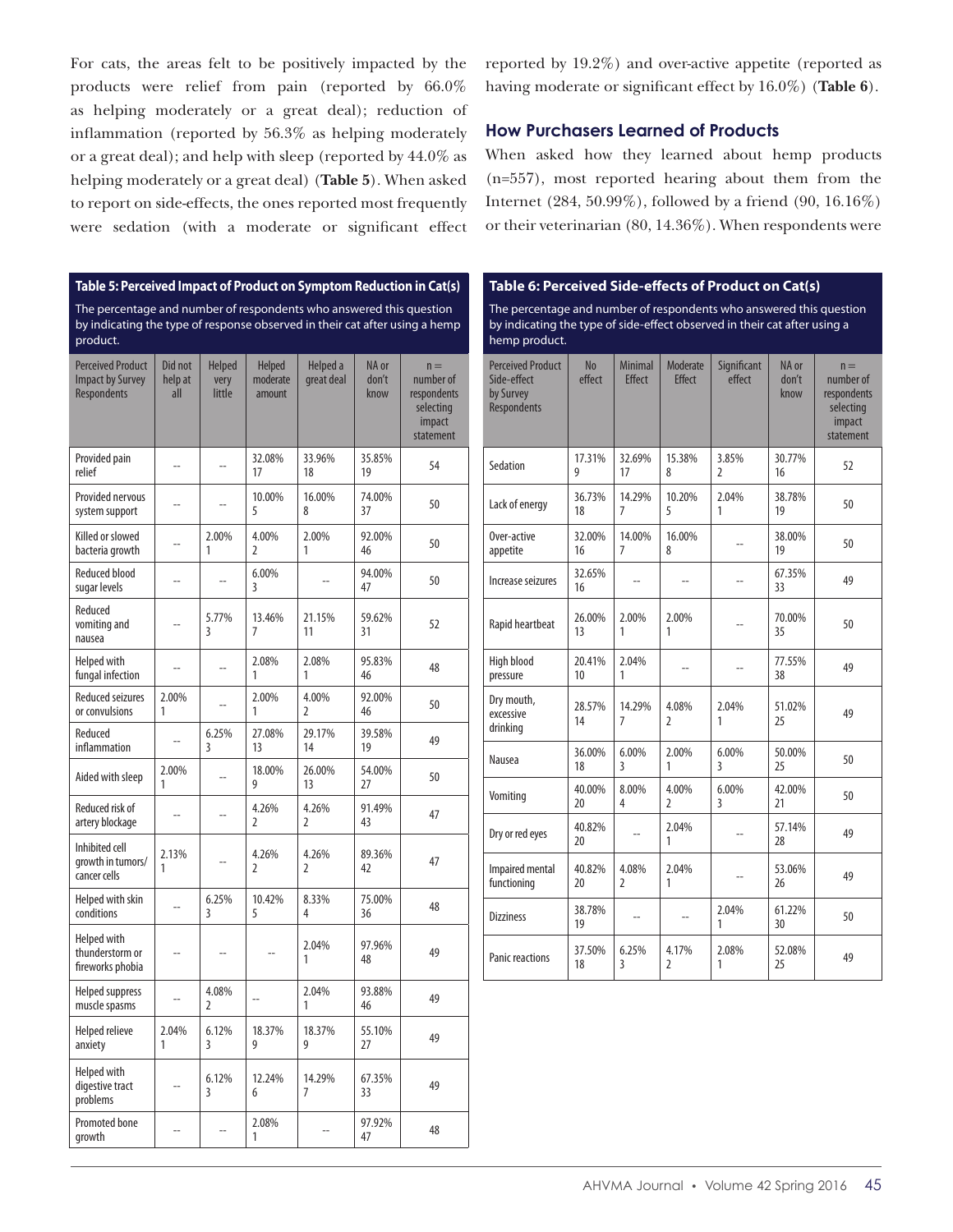For cats, the areas felt to be positively impacted by the products were relief from pain (reported by 66.0% as helping moderately or a great deal); reduction of inflammation (reported by 56.3% as helping moderately or a great deal); and help with sleep (reported by 44.0% as helping moderately or a great deal) (**Table 5**). When asked to report on side-effects, the ones reported most frequently were sedation (with a moderate or significant effect reported by 19.2%) and over-active appetite (reported as having moderate or significant effect by 16.0%) (**Table 6**).

#### **How Purchasers Learned of Products**

When asked how they learned about hemp products (n=557), most reported hearing about them from the Internet (284, 50.99%), followed by a friend (90, 16.16%) or their veterinarian (80, 14.36%). When respondents were

## **Table 5: Perceived Impact of Product on Symptom Reduction in Cat(s)** The percentage and number of respondents who answered this question by indicating the type of response observed in their cat after using a hemp product.

| <b>Perceived Product</b><br><b>Impact by Survey</b><br><b>Respondents</b> | Did not<br>help at<br>all | <b>Helped</b><br>very<br>little | <b>Helped</b><br>moderate<br>amount | Helped a<br>great deal  | NA or<br>don't<br>know | $n =$<br>number of<br>respondents<br>selecting<br>impact<br>statement |
|---------------------------------------------------------------------------|---------------------------|---------------------------------|-------------------------------------|-------------------------|------------------------|-----------------------------------------------------------------------|
| Provided pain<br>relief                                                   | $\overline{a}$            | $\overline{a}$                  | 32.08%<br>17                        | 33.96%<br>18            | 35.85%<br>19           | 54                                                                    |
| Provided nervous<br>system support                                        |                           |                                 | 10.00%<br>5                         | 16.00%<br>8             | 74.00%<br>37           | 50                                                                    |
| Killed or slowed<br>bacteria growth                                       |                           | 2.00%<br>1                      | 4.00%<br>$\overline{2}$             | 2.00%<br>1              | 92.00%<br>46           | 50                                                                    |
| <b>Reduced blood</b><br>sugar levels                                      | Ξ.                        | $\overline{a}$                  | 6.00%<br>3                          | Ξ.                      | 94.00%<br>47           | 50                                                                    |
| Reduced<br>vomiting and<br>nausea                                         |                           | 5.77%<br>3                      | 13.46%<br>7                         | 21.15%<br>11            | 59.62%<br>31           | 52                                                                    |
| <b>Helped with</b><br>fungal infection                                    |                           | $\overline{\phantom{a}}$        | 2.08%<br>1                          | 2.08%<br>1              | 95.83%<br>46           | 48                                                                    |
| <b>Reduced seizures</b><br>or convulsions                                 | 2.00%<br>1                | $\sim$                          | 2.00%<br>1                          | 4.00%<br>$\overline{2}$ | 92.00%<br>46           | 50                                                                    |
| Reduced<br>inflammation                                                   | $\overline{a}$            | 6.25%<br>3                      | 27.08%<br>13                        | 29.17%<br>14            | 39.58%<br>19           | 49                                                                    |
| Aided with sleep                                                          | 2.00%<br>1                |                                 | 18.00%<br>9                         | 26.00%<br>13            | 54.00%<br>27           | 50                                                                    |
| Reduced risk of<br>artery blockage                                        | $\overline{a}$            | $\overline{a}$                  | 4.26%<br>2                          | 4.26%<br>2              | 91.49%<br>43           | 47                                                                    |
| Inhibited cell<br>growth in tumors/<br>cancer cells                       | 2.13%<br>1                |                                 | 4.26%<br>2                          | 4.26%<br>2              | 89.36%<br>42           | 47                                                                    |
| Helped with skin<br>conditions                                            | $\overline{a}$            | 6.25%<br>3                      | 10.42%<br>5                         | 8.33%<br>4              | 75.00%<br>36           | 48                                                                    |
| <b>Helped with</b><br>thunderstorm or<br>fireworks phobia                 | $\overline{a}$            |                                 |                                     | 2.04%<br>1              | 97.96%<br>48           | 49                                                                    |
| <b>Helped suppress</b><br>muscle spasms                                   | $\overline{a}$            | 4.08%<br>$\overline{2}$         | $\overline{\phantom{a}}$            | 2.04%<br>1              | 93.88%<br>46           | 49                                                                    |
| <b>Helped relieve</b><br>anxiety                                          | 2.04%<br>1                | 6.12%<br>3                      | 18.37%<br>9                         | 18.37%<br>9             | 55.10%<br>27           | 49                                                                    |
| <b>Helped with</b><br>digestive tract<br>problems                         | $\overline{a}$            | 6.12%<br>3                      | 12.24%<br>6                         | 14.29%<br>7             | 67.35%<br>33           | 49                                                                    |
| Promoted bone<br>growth                                                   |                           |                                 | 2.08%<br>1                          |                         | 97.92%<br>47           | 48                                                                    |

#### **Table 6: Perceived Side-effects of Product on Cat(s)**

The percentage and number of respondents who answered this question by indicating the type of side-effect observed in their cat after using a hemp product.

| <b>Perceived Product</b><br>Side-effect<br>by Survey<br><b>Respondents</b> | <b>No</b><br>effect | <b>Minimal</b><br><b>Effect</b> | Moderate<br><b>Effect</b> | Significant<br>effect   | NA or<br>don't<br>know | $n =$<br>number of<br>respondents<br>selecting<br>impact<br>statement |
|----------------------------------------------------------------------------|---------------------|---------------------------------|---------------------------|-------------------------|------------------------|-----------------------------------------------------------------------|
| Sedation                                                                   | 17.31%<br>9         | 32.69%<br>17                    | 15.38%<br>8               | 3.85%<br>$\mathfrak z$  | 30.77%<br>16           | 52                                                                    |
| Lack of energy                                                             | 36.73%<br>18        | 14.29%<br>7                     | 10.20%<br>5               | 2.04%<br>1              | 38.78%<br>19           | 50                                                                    |
| Over-active<br>appetite                                                    | 32.00%<br>16        | 14.00%<br>$\overline{7}$        | 16.00%<br>8               |                         | 38.00%<br>19           | 50                                                                    |
| Increase seizures                                                          | 32.65%<br>16        |                                 |                           |                         | 67.35%<br>33           | 49                                                                    |
| Rapid heartbeat                                                            | 26.00%<br>13        | 2.00%<br>1                      | 2.00%<br>1                |                         | 70.00%<br>35           | 50                                                                    |
| High blood<br>pressure                                                     | 20.41%<br>10        | 2.04%<br>1                      |                           |                         | 77.55%<br>38           | 49                                                                    |
| Dry mouth,<br>excessive<br>drinking                                        | 28.57%<br>14        | 14.29%<br>7                     | 4.08%<br>$\overline{2}$   | 2.04%<br>1              | 51.02%<br>25           | 49                                                                    |
| Nausea                                                                     | 36.00%<br>18        | 6.00%<br>3                      | 2.00%<br>1                | 6.00%<br>3              | 50.00%<br>25           | 50                                                                    |
| Vomiting                                                                   | 40.00%<br>20        | 8.00%<br>4                      | 4.00%<br>$\overline{2}$   | 6.00%<br>$\overline{3}$ | 42.00%<br>21           | 50                                                                    |
| Dry or red eyes                                                            | 40.82%<br>20        |                                 | 2.04%<br>1                |                         | 57.14%<br>28           | 49                                                                    |
| Impaired mental<br>functioning                                             | 40.82%<br>20        | 4.08%<br>$\overline{2}$         | 2.04%<br>1                |                         | 53.06%<br>26           | 49                                                                    |
| <b>Dizziness</b>                                                           | 38.78%<br>19        | Ξ.                              | -−                        | 2.04%<br>1              | 61.22%<br>30           | 50                                                                    |
| <b>Panic reactions</b>                                                     | 37.50%<br>18        | 6.25%<br>$\overline{3}$         | 4.17%<br>$\overline{2}$   | 2.08%<br>1              | 52.08%<br>25           | 49                                                                    |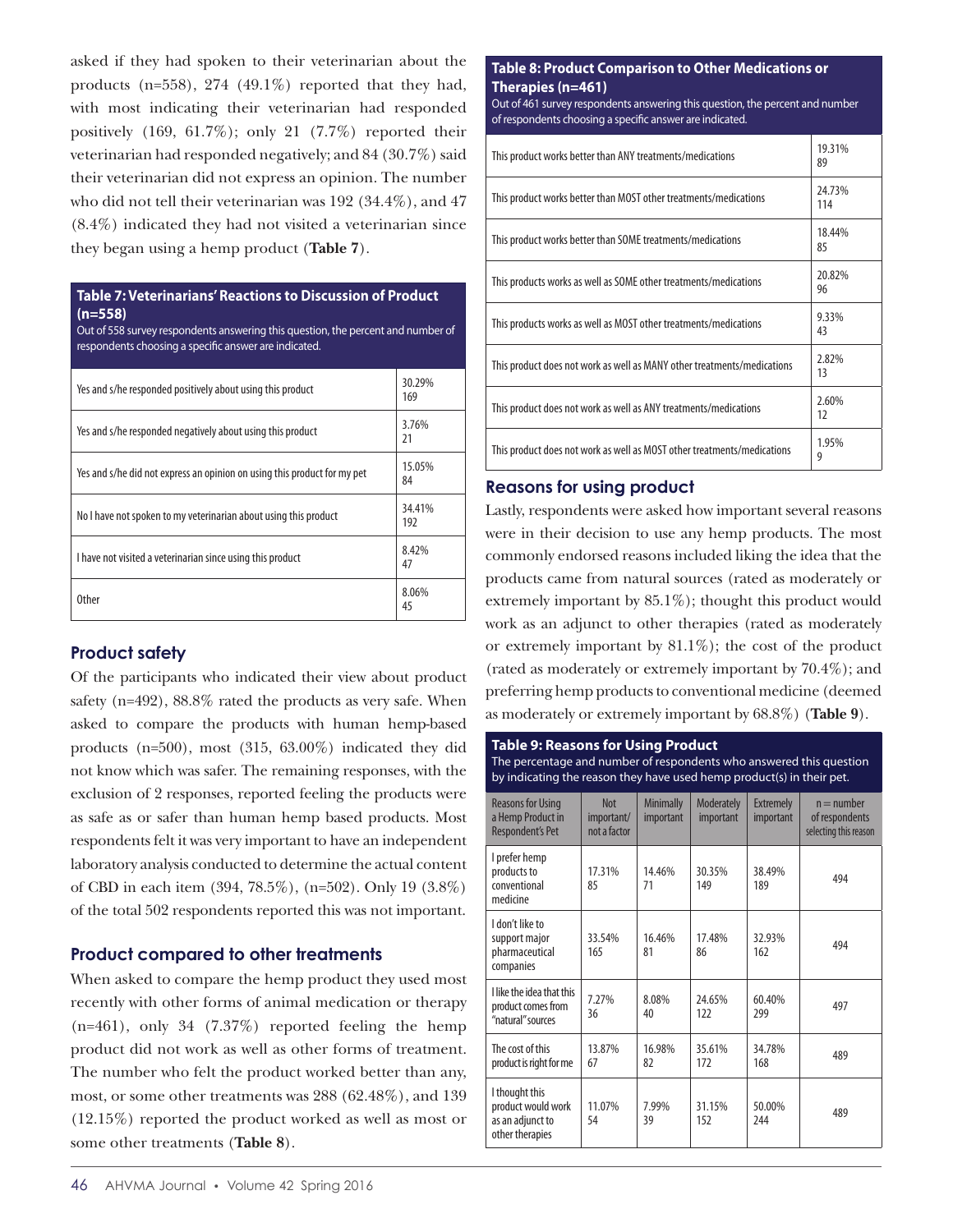asked if they had spoken to their veterinarian about the products (n=558), 274 (49.1%) reported that they had, with most indicating their veterinarian had responded positively  $(169, 61.7\%)$ ; only 21  $(7.7\%)$  reported their veterinarian had responded negatively; and 84 (30.7%) said their veterinarian did not express an opinion. The number who did not tell their veterinarian was 192 (34.4%), and 47 (8.4%) indicated they had not visited a veterinarian since they began using a hemp product (**Table 7**).

#### **Table 7: Veterinarians' Reactions to Discussion of Product (n=558)**

Out of 558 survey respondents answering this question, the percent and number of respondents choosing a specific answer are indicated.

| Yes and s/he responded positively about using this product               | 30.29%<br>169 |
|--------------------------------------------------------------------------|---------------|
| Yes and s/he responded negatively about using this product               | 3.76%<br>21   |
| Yes and s/he did not express an opinion on using this product for my pet | 15.05%<br>84  |
| No I have not spoken to my veterinarian about using this product         | 34.41%<br>192 |
| I have not visited a veterinarian since using this product               | 8.42%<br>47   |
| 0ther                                                                    | 8.06%<br>45   |

# **Product safety**

Of the participants who indicated their view about product safety (n=492), 88.8% rated the products as very safe. When asked to compare the products with human hemp-based products (n=500), most (315, 63.00%) indicated they did not know which was safer. The remaining responses, with the exclusion of 2 responses, reported feeling the products were as safe as or safer than human hemp based products. Most respondents felt it was very important to have an independent laboratory analysis conducted to determine the actual content of CBD in each item (394, 78.5%), (n=502). Only 19 (3.8%) of the total 502 respondents reported this was not important.

# **Product compared to other treatments**

When asked to compare the hemp product they used most recently with other forms of animal medication or therapy (n=461), only 34 (7.37%) reported feeling the hemp product did not work as well as other forms of treatment. The number who felt the product worked better than any, most, or some other treatments was 288 (62.48%), and 139 (12.15%) reported the product worked as well as most or some other treatments (**Table 8**).

## **Table 8: Product Comparison to Other Medications or Therapies (n=461)**

Out of 461 survey respondents answering this question, the percent and number of respondents choosing a specific answer are indicated.

| This product works better than ANY treatments/medications               | 19.31%<br>89  |
|-------------------------------------------------------------------------|---------------|
| This product works better than MOST other treatments/medications        | 24.73%<br>114 |
| This product works better than SOME treatments/medications              | 18.44%<br>85  |
| This products works as well as SOME other treatments/medications        | 20.82%<br>96  |
| This products works as well as MOST other treatments/medications        | 9.33%<br>43   |
| This product does not work as well as MANY other treatments/medications | 2.82%<br>13   |
| This product does not work as well as ANY treatments/medications        | 2.60%<br>12   |
| This product does not work as well as MOST other treatments/medications | 1.95%<br>9    |

# **Reasons for using product**

Lastly, respondents were asked how important several reasons were in their decision to use any hemp products. The most commonly endorsed reasons included liking the idea that the products came from natural sources (rated as moderately or extremely important by  $85.1\%$ ; thought this product would work as an adjunct to other therapies (rated as moderately or extremely important by 81.1%); the cost of the product (rated as moderately or extremely important by 70.4%); and preferring hemp products to conventional medicine (deemed as moderately or extremely important by 68.8%) (**Table 9**).

| <b>Table 9: Reasons for Using Product</b><br>The percentage and number of respondents who answered this question<br>by indicating the reason they have used hemp product(s) in their pet. |                                          |                               |                                       |                                      |                                                         |  |  |  |
|-------------------------------------------------------------------------------------------------------------------------------------------------------------------------------------------|------------------------------------------|-------------------------------|---------------------------------------|--------------------------------------|---------------------------------------------------------|--|--|--|
| <b>Reasons for Using</b><br>a Hemp Product in<br>Respondent's Pet                                                                                                                         | <b>Not</b><br>important/<br>not a factor | <b>Minimally</b><br>important | <b>Moderately</b><br><i>important</i> | <b>Extremely</b><br><i>important</i> | $n =$ number<br>of respondents<br>selecting this reason |  |  |  |
| I prefer hemp<br>products to<br>conventional<br>medicine                                                                                                                                  | 17.31%<br>85                             | 14.46%<br>71                  | 30.35%<br>149                         | 38.49%<br>189                        | 494                                                     |  |  |  |
| I don't like to<br>support major<br>pharmaceutical<br>companies                                                                                                                           | 33.54%<br>165                            | 16.46%<br>81                  | 17.48%<br>86                          | 32.93%<br>162                        | 494                                                     |  |  |  |
| I like the idea that this<br>product comes from<br>"natural" sources                                                                                                                      | 7.27%<br>36                              | 8.08%<br>40                   | 24.65%<br>122                         | 60.40%<br>299                        | 497                                                     |  |  |  |
| The cost of this<br>product is right for me                                                                                                                                               | 13.87%<br>67                             | 16.98%<br>82                  | 35.61%<br>172                         | 34.78%<br>168                        | 489                                                     |  |  |  |
| I thought this<br>product would work<br>as an adjunct to<br>other therapies                                                                                                               | 11.07%<br>54                             | 7.99%<br>39                   | 31.15%<br>152                         | 50.00%<br>244                        | 489                                                     |  |  |  |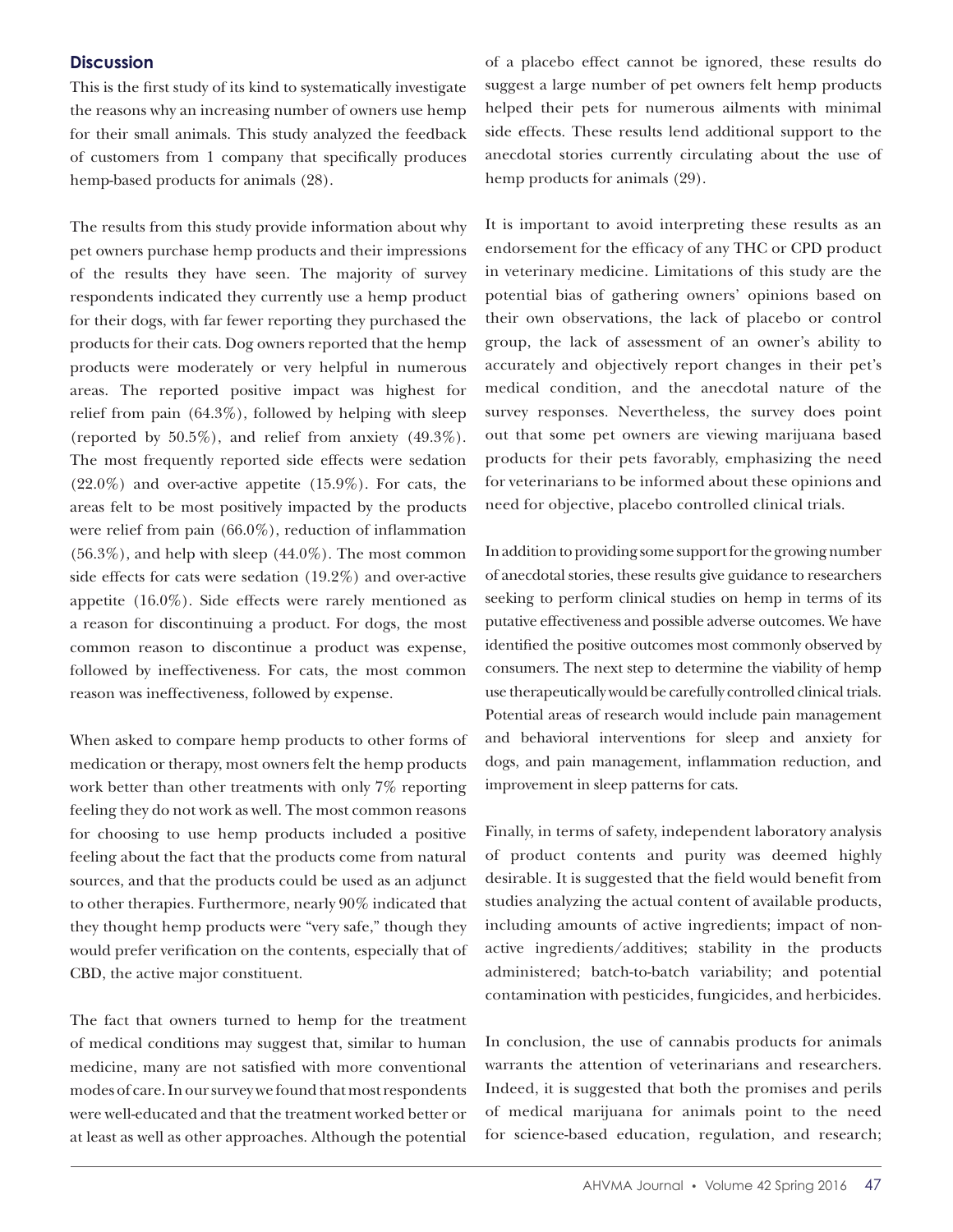# **Discussion**

This is the first study of its kind to systematically investigate the reasons why an increasing number of owners use hemp for their small animals. This study analyzed the feedback of customers from 1 company that specifically produces hemp-based products for animals (28).

The results from this study provide information about why pet owners purchase hemp products and their impressions of the results they have seen. The majority of survey respondents indicated they currently use a hemp product for their dogs, with far fewer reporting they purchased the products for their cats. Dog owners reported that the hemp products were moderately or very helpful in numerous areas. The reported positive impact was highest for relief from pain (64.3%), followed by helping with sleep (reported by 50.5%), and relief from anxiety (49.3%). The most frequently reported side effects were sedation  $(22.0\%)$  and over-active appetite  $(15.9\%)$ . For cats, the areas felt to be most positively impacted by the products were relief from pain (66.0%), reduction of inflammation  $(56.3\%)$ , and help with sleep  $(44.0\%)$ . The most common side effects for cats were sedation (19.2%) and over-active appetite (16.0%). Side effects were rarely mentioned as a reason for discontinuing a product. For dogs, the most common reason to discontinue a product was expense, followed by ineffectiveness. For cats, the most common reason was ineffectiveness, followed by expense.

When asked to compare hemp products to other forms of medication or therapy, most owners felt the hemp products work better than other treatments with only 7% reporting feeling they do not work as well. The most common reasons for choosing to use hemp products included a positive feeling about the fact that the products come from natural sources, and that the products could be used as an adjunct to other therapies. Furthermore, nearly 90% indicated that they thought hemp products were "very safe," though they would prefer verification on the contents, especially that of CBD, the active major constituent.

The fact that owners turned to hemp for the treatment of medical conditions may suggest that, similar to human medicine, many are not satisfied with more conventional modes of care. In our survey we found that most respondents were well-educated and that the treatment worked better or at least as well as other approaches. Although the potential of a placebo effect cannot be ignored, these results do suggest a large number of pet owners felt hemp products helped their pets for numerous ailments with minimal side effects. These results lend additional support to the anecdotal stories currently circulating about the use of hemp products for animals (29).

It is important to avoid interpreting these results as an endorsement for the efficacy of any THC or CPD product in veterinary medicine. Limitations of this study are the potential bias of gathering owners' opinions based on their own observations, the lack of placebo or control group, the lack of assessment of an owner's ability to accurately and objectively report changes in their pet's medical condition, and the anecdotal nature of the survey responses. Nevertheless, the survey does point out that some pet owners are viewing marijuana based products for their pets favorably, emphasizing the need for veterinarians to be informed about these opinions and need for objective, placebo controlled clinical trials.

In addition to providing some support for the growing number of anecdotal stories, these results give guidance to researchers seeking to perform clinical studies on hemp in terms of its putative effectiveness and possible adverse outcomes. We have identified the positive outcomes most commonly observed by consumers. The next step to determine the viability of hemp use therapeutically would be carefully controlled clinical trials. Potential areas of research would include pain management and behavioral interventions for sleep and anxiety for dogs, and pain management, inflammation reduction, and improvement in sleep patterns for cats.

Finally, in terms of safety, independent laboratory analysis of product contents and purity was deemed highly desirable. It is suggested that the field would benefit from studies analyzing the actual content of available products, including amounts of active ingredients; impact of nonactive ingredients/additives; stability in the products administered; batch-to-batch variability; and potential contamination with pesticides, fungicides, and herbicides.

In conclusion, the use of cannabis products for animals warrants the attention of veterinarians and researchers. Indeed, it is suggested that both the promises and perils of medical marijuana for animals point to the need for science-based education, regulation, and research;